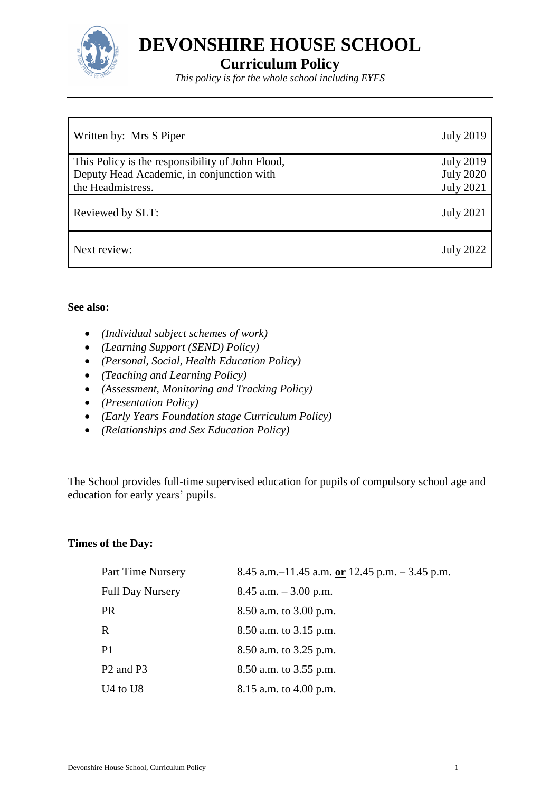

**DEVONSHIRE HOUSE SCHOOL**

# **Curriculum Policy**

*This policy is for the whole school including EYFS*

| Written by: Mrs S Piper                          | <b>July 2019</b> |
|--------------------------------------------------|------------------|
| This Policy is the responsibility of John Flood, | <b>July 2019</b> |
| Deputy Head Academic, in conjunction with        | <b>July 2020</b> |
| the Headmistress.                                | <b>July 2021</b> |
| Reviewed by SLT:                                 | <b>July 2021</b> |
| Next review:                                     | <b>July 2022</b> |

#### **See also:**

- *(Individual subject schemes of work)*
- *(Learning Support (SEND) Policy)*
- *(Personal, Social, Health Education Policy)*
- *(Teaching and Learning Policy)*
- *(Assessment, Monitoring and Tracking Policy)*
- *(Presentation Policy)*
- *(Early Years Foundation stage Curriculum Policy)*
- *(Relationships and Sex Education Policy)*

The School provides full-time supervised education for pupils of compulsory school age and education for early years' pupils.

#### **Times of the Day:**

| Part Time Nursery                 | 8.45 a.m. $-11.45$ a.m. or 12.45 p.m. $-3.45$ p.m. |
|-----------------------------------|----------------------------------------------------|
| <b>Full Day Nursery</b>           | $8.45$ a.m. $-3.00$ p.m.                           |
| <b>PR</b>                         | 8.50 a.m. to 3.00 p.m.                             |
| R                                 | 8.50 a.m. to 3.15 p.m.                             |
| P <sub>1</sub>                    | 8.50 a.m. to 3.25 p.m.                             |
| P <sub>2</sub> and P <sub>3</sub> | 8.50 a.m. to 3.55 p.m.                             |
| $U4$ to $U8$                      | 8.15 a.m. to $4.00$ p.m.                           |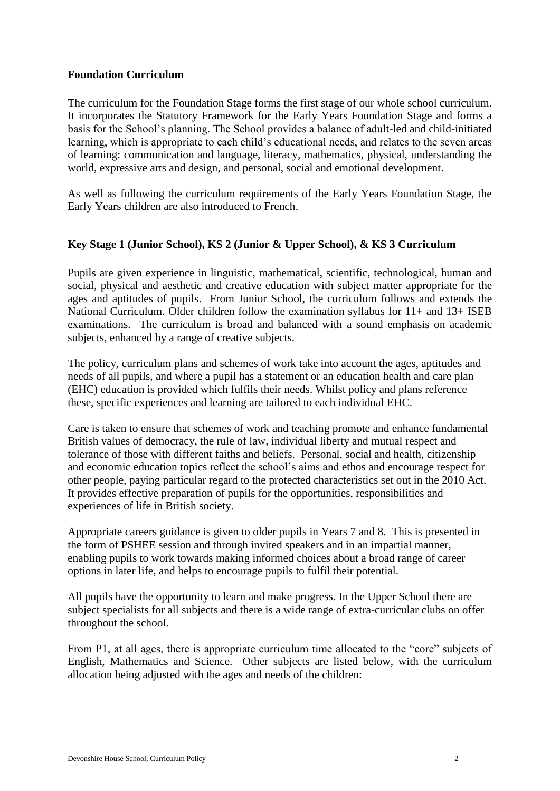#### **Foundation Curriculum**

The curriculum for the Foundation Stage forms the first stage of our whole school curriculum. It incorporates the Statutory Framework for the Early Years Foundation Stage and forms a basis for the School's planning. The School provides a balance of adult-led and child-initiated learning, which is appropriate to each child's educational needs, and relates to the seven areas of learning: communication and language, literacy, mathematics, physical, understanding the world, expressive arts and design, and personal, social and emotional development.

As well as following the curriculum requirements of the Early Years Foundation Stage, the Early Years children are also introduced to French.

#### **Key Stage 1 (Junior School), KS 2 (Junior & Upper School), & KS 3 Curriculum**

Pupils are given experience in linguistic, mathematical, scientific, technological, human and social, physical and aesthetic and creative education with subject matter appropriate for the ages and aptitudes of pupils. From Junior School, the curriculum follows and extends the National Curriculum. Older children follow the examination syllabus for 11+ and 13+ ISEB examinations. The curriculum is broad and balanced with a sound emphasis on academic subjects, enhanced by a range of creative subjects.

The policy, curriculum plans and schemes of work take into account the ages, aptitudes and needs of all pupils, and where a pupil has a statement or an education health and care plan (EHC) education is provided which fulfils their needs. Whilst policy and plans reference these, specific experiences and learning are tailored to each individual EHC.

Care is taken to ensure that schemes of work and teaching promote and enhance fundamental British values of democracy, the rule of law, individual liberty and mutual respect and tolerance of those with different faiths and beliefs. Personal, social and health, citizenship and economic education topics reflect the school's aims and ethos and encourage respect for other people, paying particular regard to the protected characteristics set out in the 2010 Act. It provides effective preparation of pupils for the opportunities, responsibilities and experiences of life in British society.

Appropriate careers guidance is given to older pupils in Years 7 and 8. This is presented in the form of PSHEE session and through invited speakers and in an impartial manner, enabling pupils to work towards making informed choices about a broad range of career options in later life, and helps to encourage pupils to fulfil their potential.

All pupils have the opportunity to learn and make progress. In the Upper School there are subject specialists for all subjects and there is a wide range of extra-curricular clubs on offer throughout the school.

From P1, at all ages, there is appropriate curriculum time allocated to the "core" subjects of English, Mathematics and Science. Other subjects are listed below, with the curriculum allocation being adjusted with the ages and needs of the children: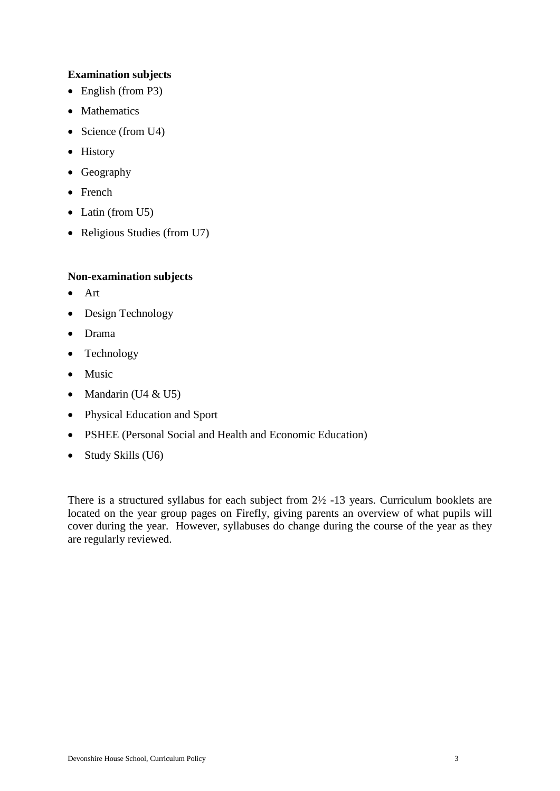#### **Examination subjects**

- $\bullet$  English (from P3)
- Mathematics
- Science (from  $U4$ )
- History
- Geography
- French
- Latin (from U5)
- Religious Studies (from U7)

#### **Non-examination subjects**

- Art
- Design Technology
- Drama
- Technology
- Music
- Mandarin ( $U4 \& U5$ )
- Physical Education and Sport
- PSHEE (Personal Social and Health and Economic Education)
- Study Skills (U6)

There is a structured syllabus for each subject from 2½ -13 years. Curriculum booklets are located on the year group pages on Firefly, giving parents an overview of what pupils will cover during the year. However, syllabuses do change during the course of the year as they are regularly reviewed.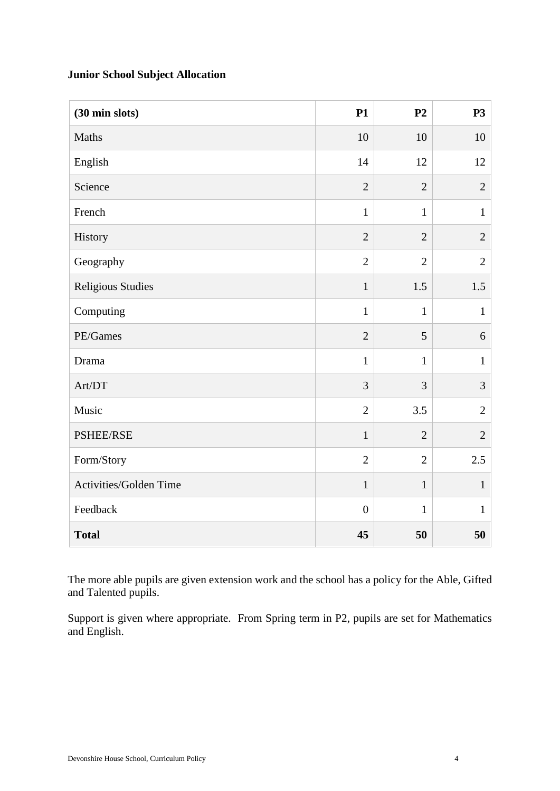### **Junior School Subject Allocation**

| (30 min slots)           | <b>P1</b>        | P <sub>2</sub> | <b>P3</b>      |
|--------------------------|------------------|----------------|----------------|
| Maths                    | 10               | 10             | 10             |
| English                  | 14               | 12             | 12             |
| Science                  | $\overline{2}$   | $\overline{2}$ | $\overline{2}$ |
| French                   | $\mathbf{1}$     | $\mathbf{1}$   | $\mathbf{1}$   |
| History                  | $\overline{2}$   | $\overline{2}$ | $\mathbf{2}$   |
| Geography                | $\overline{2}$   | $\overline{2}$ | $\overline{2}$ |
| <b>Religious Studies</b> | $\mathbf{1}$     | 1.5            | 1.5            |
| Computing                | $\mathbf{1}$     | $\mathbf{1}$   | $\mathbf{1}$   |
| PE/Games                 | $\overline{2}$   | 5              | 6              |
| Drama                    | $\mathbf{1}$     | $\mathbf{1}$   | $\mathbf{1}$   |
| Art/DT                   | 3                | 3              | 3              |
| Music                    | $\overline{2}$   | 3.5            | $\overline{2}$ |
| PSHEE/RSE                | $\mathbf{1}$     | $\overline{2}$ | $\overline{2}$ |
| Form/Story               | $\overline{2}$   | $\overline{2}$ | 2.5            |
| Activities/Golden Time   | $\mathbf{1}$     | $\mathbf{1}$   | $\mathbf{1}$   |
| Feedback                 | $\boldsymbol{0}$ | $\mathbf{1}$   | $\mathbf{1}$   |
| <b>Total</b>             | 45               | 50             | 50             |

The more able pupils are given extension work and the school has a policy for the Able, Gifted and Talented pupils.

Support is given where appropriate. From Spring term in P2, pupils are set for Mathematics and English.